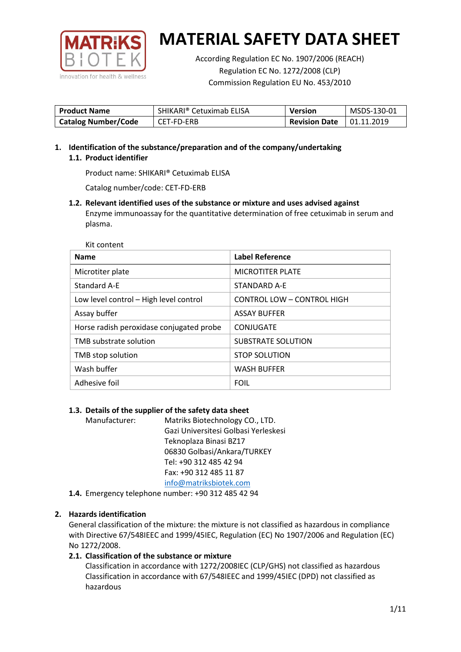

According Regulation EC No. 1907/2006 (REACH) Regulation EC No. 1272/2008 (CLP) Commission Regulation EU No. 453/2010

| <b>Product Name</b>        | SHIKARI® Cetuximab ELISA | <b>Version</b>       | MSDS-130-01 |
|----------------------------|--------------------------|----------------------|-------------|
| <b>Catalog Number/Code</b> | CET-FD-ERB               | <b>Revision Date</b> | 01.11.2019  |

**1. Identification of the substance/preparation and of the company/undertaking 1.1. Product identifier**

Product name: SHIKARI® Cetuximab ELISA

Catalog number/code: CET-FD-ERB

**1.2. Relevant identified uses of the substance or mixture and uses advised against** Enzyme immunoassay for the quantitative determination of free cetuximab in serum and plasma.

Kit content

| <b>Name</b>                              | Label Reference            |
|------------------------------------------|----------------------------|
| Microtiter plate                         | <b>MICROTITER PLATE</b>    |
| Standard A-E                             | STANDARD A-E               |
| Low level control - High level control   | CONTROL LOW - CONTROL HIGH |
| Assay buffer                             | <b>ASSAY BUFFER</b>        |
| Horse radish peroxidase conjugated probe | CONJUGATE                  |
| TMB substrate solution                   | <b>SUBSTRATE SOLUTION</b>  |
| TMB stop solution                        | <b>STOP SOLUTION</b>       |
| Wash buffer                              | <b>WASH BUFFER</b>         |
| Adhesive foil                            | <b>FOIL</b>                |

# **1.3. Details of the supplier of the safety data sheet**

Manufacturer: Matriks Biotechnology CO., LTD. Gazi Universitesi Golbasi Yerleskesi Teknoplaza Binasi BZ17 06830 Golbasi/Ankara/TURKEY Tel: +90 312 485 42 94 Fax: +90 312 485 11 87 [info@matriksbiotek.com](mailto:info@matriksbiotek.com)

**1.4.** Emergency telephone number: +90 312 485 42 94

# **2. Hazards identification**

General classification of the mixture: the mixture is not classified as hazardous in compliance with Directive 67/548IEEC and 1999/45IEC, Regulation (EC) No 1907/2006 and Regulation (EC) No 1272/2008.

# **2.1. Classification of the substance or mixture**

Classification in accordance with 1272/2008IEC (CLP/GHS) not classified as hazardous Classification in accordance with 67/548IEEC and 1999/45IEC (DPD) not classified as hazardous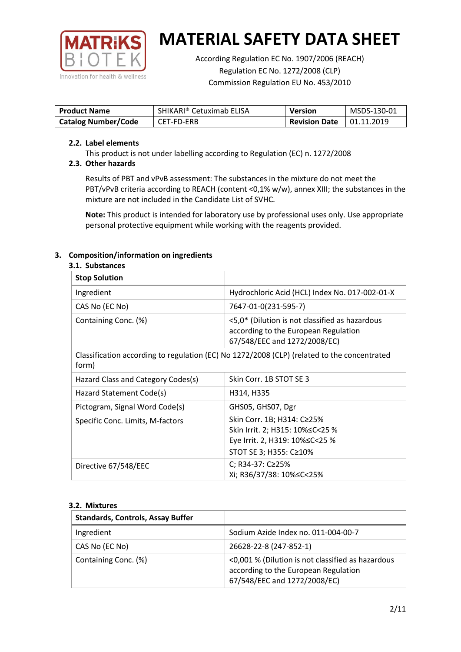

According Regulation EC No. 1907/2006 (REACH) Regulation EC No. 1272/2008 (CLP) Commission Regulation EU No. 453/2010

| <b>Product Name</b>        | SHIKARI® Cetuximab ELISA | <b>Version</b>       | MSDS-130-01       |
|----------------------------|--------------------------|----------------------|-------------------|
| <b>Catalog Number/Code</b> | CET-FD-ERB               | <b>Revision Date</b> | $\mid$ 01.11.2019 |

### **2.2. Label elements**

This product is not under labelling according to Regulation (EC) n. 1272/2008

# **2.3. Other hazards**

Results of PBT and vPvB assessment: The substances in the mixture do not meet the PBT/vPvB criteria according to REACH (content <0,1% w/w), annex XIII; the substances in the mixture are not included in the Candidate List of SVHC.

**Note:** This product is intended for laboratory use by professional uses only. Use appropriate personal protective equipment while working with the reagents provided.

# **3. Composition/information on ingredients**

### **3.1. Substances**

| <b>Stop Solution</b>               |                                                                                                                           |
|------------------------------------|---------------------------------------------------------------------------------------------------------------------------|
| Ingredient                         | Hydrochloric Acid (HCL) Index No. 017-002-01-X                                                                            |
| CAS No (EC No)                     | 7647-01-0(231-595-7)                                                                                                      |
| Containing Conc. (%)               | <5,0* (Dilution is not classified as hazardous<br>according to the European Regulation<br>67/548/EEC and 1272/2008/EC)    |
| form)                              | Classification according to regulation (EC) No 1272/2008 (CLP) (related to the concentrated                               |
| Hazard Class and Category Codes(s) | Skin Corr. 1B STOT SE 3                                                                                                   |
| Hazard Statement Code(s)           | H314, H335                                                                                                                |
| Pictogram, Signal Word Code(s)     | GHS05, GHS07, Dgr                                                                                                         |
| Specific Conc. Limits, M-factors   | Skin Corr. 1B; H314: C≥25%<br>Skin Irrit. 2; H315: 10%≤C<25 %<br>Eye Irrit. 2, H319: 10%≤C<25 %<br>STOT SE 3; H355: C≥10% |
| Directive 67/548/EEC               | C; R34-37: C≥25%<br>Xi; R36/37/38: 10%≤C<25%                                                                              |

### **3.2. Mixtures**

| <b>Standards, Controls, Assay Buffer</b> |                                                                                                                           |
|------------------------------------------|---------------------------------------------------------------------------------------------------------------------------|
| Ingredient                               | Sodium Azide Index no. 011-004-00-7                                                                                       |
| CAS No (EC No)                           | 26628-22-8 (247-852-1)                                                                                                    |
| Containing Conc. (%)                     | <0,001 % (Dilution is not classified as hazardous<br>according to the European Regulation<br>67/548/EEC and 1272/2008/EC) |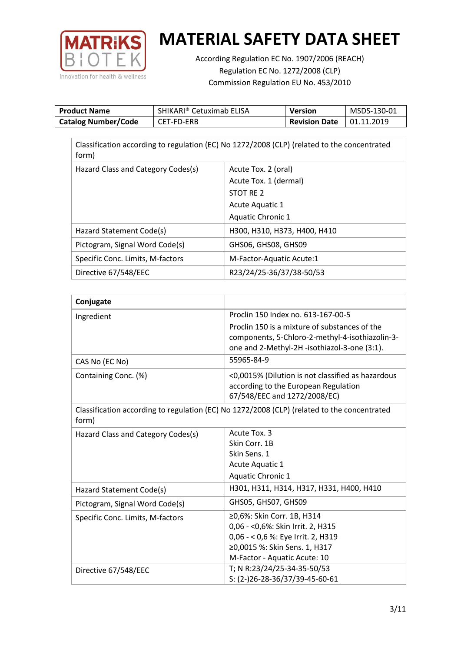

According Regulation EC No. 1907/2006 (REACH) Regulation EC No. 1272/2008 (CLP) Commission Regulation EU No. 453/2010

| <b>Product Name</b>        | SHIKARI® Cetuximab ELISA | Version              | MSDS-130-01 |
|----------------------------|--------------------------|----------------------|-------------|
| <b>Catalog Number/Code</b> | CET-FD-ERB               | <b>Revision Date</b> | 01.11.2019  |

| Classification according to regulation (EC) No 1272/2008 (CLP) (related to the concentrated<br>form) |                              |  |  |  |
|------------------------------------------------------------------------------------------------------|------------------------------|--|--|--|
| Hazard Class and Category Codes(s)                                                                   | Acute Tox. 2 (oral)          |  |  |  |
|                                                                                                      | Acute Tox. 1 (dermal)        |  |  |  |
|                                                                                                      | STOT RE 2                    |  |  |  |
|                                                                                                      | Acute Aquatic 1              |  |  |  |
|                                                                                                      | <b>Aquatic Chronic 1</b>     |  |  |  |
| Hazard Statement Code(s)                                                                             | H300, H310, H373, H400, H410 |  |  |  |
| Pictogram, Signal Word Code(s)                                                                       | GHS06, GHS08, GHS09          |  |  |  |
| Specific Conc. Limits, M-factors                                                                     | M-Factor-Aquatic Acute:1     |  |  |  |
| Directive 67/548/EEC                                                                                 | R23/24/25-36/37/38-50/53     |  |  |  |

| Conjugate                          |                                                                                                                                                  |
|------------------------------------|--------------------------------------------------------------------------------------------------------------------------------------------------|
| Ingredient                         | Proclin 150 Index no. 613-167-00-5                                                                                                               |
|                                    | Proclin 150 is a mixture of substances of the<br>components, 5-Chloro-2-methyl-4-isothiazolin-3-<br>one and 2-Methyl-2H -isothiazol-3-one (3:1). |
| CAS No (EC No)                     | 55965-84-9                                                                                                                                       |
| Containing Conc. (%)               | <0,0015% (Dilution is not classified as hazardous<br>according to the European Regulation<br>67/548/EEC and 1272/2008/EC)                        |
| form)                              | Classification according to regulation (EC) No 1272/2008 (CLP) (related to the concentrated                                                      |
| Hazard Class and Category Codes(s) | Acute Tox. 3                                                                                                                                     |
|                                    | Skin Corr. 1B                                                                                                                                    |
|                                    | Skin Sens. 1                                                                                                                                     |
|                                    | <b>Acute Aquatic 1</b>                                                                                                                           |
|                                    | Aquatic Chronic 1                                                                                                                                |
| Hazard Statement Code(s)           | H301, H311, H314, H317, H331, H400, H410                                                                                                         |
| Pictogram, Signal Word Code(s)     | GHS05, GHS07, GHS09                                                                                                                              |
| Specific Conc. Limits, M-factors   | ≥0,6%: Skin Corr. 1B, H314                                                                                                                       |
|                                    | 0,06 - < 0,6%: Skin Irrit. 2, H315                                                                                                               |
|                                    | 0,06 - < 0,6 %: Eye Irrit. 2, H319                                                                                                               |
|                                    | ≥0,0015 %: Skin Sens. 1, H317                                                                                                                    |
|                                    | M-Factor - Aquatic Acute: 10                                                                                                                     |
| Directive 67/548/EEC               | T; N R:23/24/25-34-35-50/53                                                                                                                      |
|                                    | S: (2-)26-28-36/37/39-45-60-61                                                                                                                   |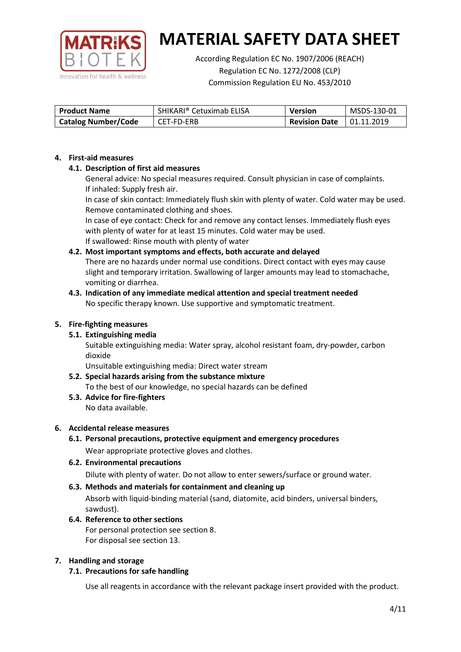

According Regulation EC No. 1907/2006 (REACH) Regulation EC No. 1272/2008 (CLP) Commission Regulation EU No. 453/2010

| <b>Product Name</b>        | SHIKARI® Cetuximab ELISA | Version              | MSDS-130-01       |
|----------------------------|--------------------------|----------------------|-------------------|
| <b>Catalog Number/Code</b> | CET-FD-ERB               | <b>Revision Date</b> | $\mid$ 01.11.2019 |

### **4. First-aid measures**

# **4.1. Description of first aid measures**

General advice: No special measures required. Consult physician in case of complaints. If inhaled: Supply fresh air.

In case of skin contact: Immediately flush skin with plenty of water. Cold water may be used. Remove contaminated clothing and shoes.

In case of eye contact: Check for and remove any contact lenses. Immediately flush eyes with plenty of water for at least 15 minutes. Cold water may be used. If swallowed: Rinse mouth with plenty of water

# **4.2. Most important symptoms and effects, both accurate and delayed**

There are no hazards under normal use conditions. Direct contact with eyes may cause slight and temporary irritation. Swallowing of larger amounts may lead to stomachache, vomiting or diarrhea.

### **4.3. Indication of any immediate medical attention and special treatment needed** No specific therapy known. Use supportive and symptomatic treatment.

### **5. Fire-fighting measures**

# **5.1. Extinguishing media**

Suitable extinguishing media: Water spray, alcohol resistant foam, dry-powder, carbon dioxide

Unsuitable extinguishing media: Direct water stream

#### **5.2. Special hazards arising from the substance mixture** To the best of our knowledge, no special hazards can be defined

**5.3. Advice for fire-fighters** No data available.

### **6. Accidental release measures**

- **6.1. Personal precautions, protective equipment and emergency procedures** Wear appropriate protective gloves and clothes.
- **6.2. Environmental precautions** Dilute with plenty of water. Do not allow to enter sewers/surface or ground water.

### **6.3. Methods and materials for containment and cleaning up**

Absorb with liquid-binding material (sand, diatomite, acid binders, universal binders, sawdust).

**6.4. Reference to other sections** For personal protection see section 8. For disposal see section 13.

### **7. Handling and storage**

# **7.1. Precautions for safe handling**

Use all reagents in accordance with the relevant package insert provided with the product.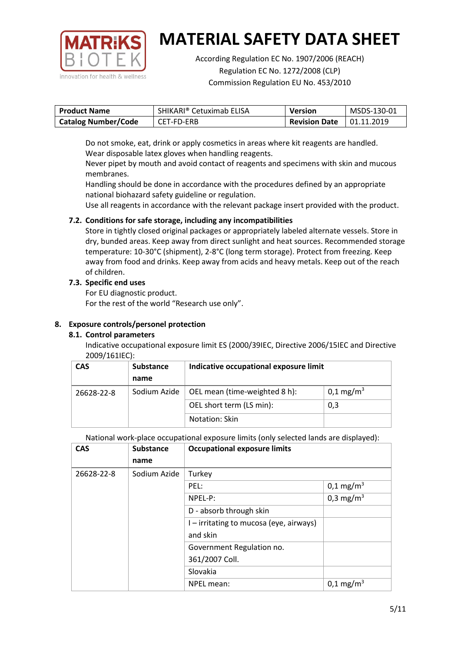

According Regulation EC No. 1907/2006 (REACH) Regulation EC No. 1272/2008 (CLP) Commission Regulation EU No. 453/2010

| <b>Product Name</b>        | SHIKARI® Cetuximab ELISA | <b>Version</b>                    | MSDS-130-01 |
|----------------------------|--------------------------|-----------------------------------|-------------|
| <b>Catalog Number/Code</b> | CET-FD-ERB               | <b>Revision Date</b>   01.11.2019 |             |

Do not smoke, eat, drink or apply cosmetics in areas where kit reagents are handled. Wear disposable latex gloves when handling reagents.

Never pipet by mouth and avoid contact of reagents and specimens with skin and mucous membranes.

Handling should be done in accordance with the procedures defined by an appropriate national biohazard safety guideline or regulation.

Use all reagents in accordance with the relevant package insert provided with the product.

# **7.2. Conditions for safe storage, including any incompatibilities**

Store in tightly closed original packages or appropriately labeled alternate vessels. Store in dry, bunded areas. Keep away from direct sunlight and heat sources. Recommended storage temperature: 10-30°C (shipment), 2-8°C (long term storage). Protect from freezing. Keep away from food and drinks. Keep away from acids and heavy metals. Keep out of the reach of children.

# **7.3. Specific end uses**

For EU diagnostic product.

For the rest of the world "Research use only".

# **8. Exposure controls/personel protection**

# **8.1. Control parameters**

Indicative occupational exposure limit ES (2000/39IEC, Directive 2006/15IEC and Directive 2009/161IEC):

| <b>CAS</b> | <b>Substance</b> | Indicative occupational exposure limit |                      |
|------------|------------------|----------------------------------------|----------------------|
|            | name             |                                        |                      |
| 26628-22-8 | Sodium Azide     | OEL mean (time-weighted 8 h):          | $0,1 \text{ mg/m}^3$ |
|            |                  | OEL short term (LS min):               | 0,3                  |
|            |                  | Notation: Skin                         |                      |

National work-place occupational exposure limits (only selected lands are displayed):

| <b>CAS</b> | <b>Substance</b> | <b>Occupational exposure limits</b>     |                       |
|------------|------------------|-----------------------------------------|-----------------------|
|            | name             |                                         |                       |
| 26628-22-8 | Sodium Azide     | Turkey                                  |                       |
|            |                  | PEL:                                    | $0,1 \text{ mg/m}^3$  |
|            |                  | NPEL-P:                                 | 0,3 mg/m <sup>3</sup> |
|            |                  | D - absorb through skin                 |                       |
|            |                  | I – irritating to mucosa (eye, airways) |                       |
|            |                  | and skin                                |                       |
|            |                  | Government Regulation no.               |                       |
|            |                  | 361/2007 Coll.                          |                       |
|            |                  | Slovakia                                |                       |
|            | NPEL mean:       | $0,1 \text{ mg/m}^3$                    |                       |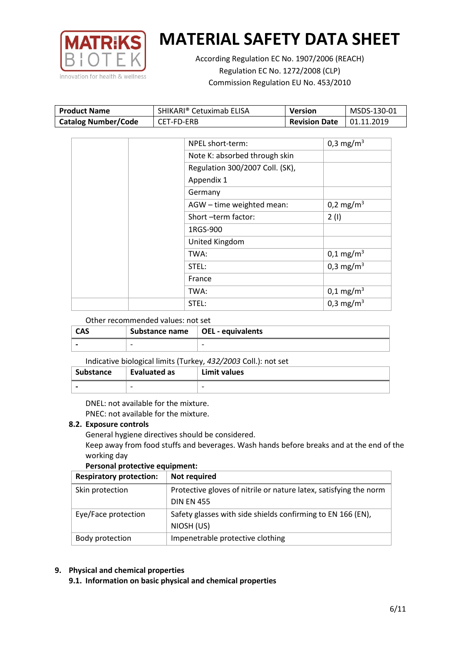

According Regulation EC No. 1907/2006 (REACH) Regulation EC No. 1272/2008 (CLP) Commission Regulation EU No. 453/2010

| <b>Product Name</b>        | SHIKARI® Cetuximab ELISA | Version              | MSDS-130-01 |
|----------------------------|--------------------------|----------------------|-------------|
| <b>Catalog Number/Code</b> | CET-FD-ERB               | <b>Revision Date</b> | 01.11.2019  |

| NPEL short-term:                | 0,3 mg/m <sup>3</sup> |
|---------------------------------|-----------------------|
| Note K: absorbed through skin   |                       |
| Regulation 300/2007 Coll. (SK), |                       |
| Appendix 1                      |                       |
| Germany                         |                       |
| AGW - time weighted mean:       | 0,2 mg/m <sup>3</sup> |
| Short-term factor:              | 2(1)                  |
| 1RGS-900                        |                       |
| United Kingdom                  |                       |
| TWA:                            | $0,1 \text{ mg/m}^3$  |
| STEL:                           | 0,3 mg/m <sup>3</sup> |
| France                          |                       |
| TWA:                            | $0,1 \text{ mg/m}^3$  |
| STEL:                           | 0,3 mg/m <sup>3</sup> |

### Other recommended values: not set

| <b>CAS</b> | Substance name   OEL - equivalents |   |
|------------|------------------------------------|---|
|            | $\overline{\phantom{0}}$           | - |

### Indicative biological limits (Turkey, *432/2003* Coll.): not set

| Substance | Evaluated as | Limit values             |
|-----------|--------------|--------------------------|
|           | -            | $\overline{\phantom{0}}$ |

DNEL: not available for the mixture. PNEC: not available for the mixture.

### **8.2. Exposure controls**

General hygiene directives should be considered.

Keep away from food stuffs and beverages. Wash hands before breaks and at the end of the working day

### **Personal protective equipment:**

| <b>Respiratory protection:</b> | Not required                                                      |
|--------------------------------|-------------------------------------------------------------------|
| Skin protection                | Protective gloves of nitrile or nature latex, satisfying the norm |
|                                | <b>DIN EN 455</b>                                                 |
| Eye/Face protection            | Safety glasses with side shields confirming to EN 166 (EN),       |
|                                | NIOSH (US)                                                        |
| Body protection                | Impenetrable protective clothing                                  |

# **9. Physical and chemical properties**

**9.1. Information on basic physical and chemical properties**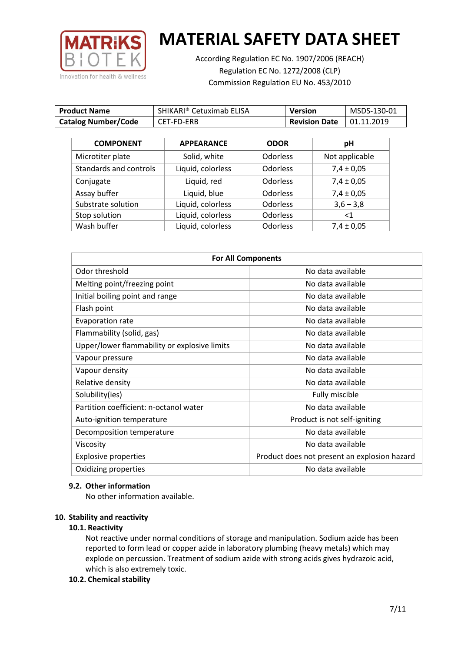

According Regulation EC No. 1907/2006 (REACH) Regulation EC No. 1272/2008 (CLP) Commission Regulation EU No. 453/2010

| <b>Product Name</b>        | SHIKARI® Cetuximab ELISA | <b>Version</b>       | MSDS-130-01 |
|----------------------------|--------------------------|----------------------|-------------|
| <b>Catalog Number/Code</b> | CET-FD-ERB               | <b>Revision Date</b> | 01.11.2019  |

| <b>COMPONENT</b>       | <b>APPEARANCE</b> | <b>ODOR</b>     | pH             |
|------------------------|-------------------|-----------------|----------------|
| Microtiter plate       | Solid, white      | <b>Odorless</b> | Not applicable |
| Standards and controls | Liquid, colorless | <b>Odorless</b> | $7,4 \pm 0,05$ |
| Conjugate              | Liquid, red       | <b>Odorless</b> | $7,4 \pm 0,05$ |
| Assay buffer           | Liquid, blue      | <b>Odorless</b> | $7,4 \pm 0,05$ |
| Substrate solution     | Liquid, colorless | <b>Odorless</b> | $3,6 - 3,8$    |
| Stop solution          | Liquid, colorless | <b>Odorless</b> | $<$ 1          |
| Wash buffer            | Liquid, colorless | <b>Odorless</b> | $7,4 \pm 0,05$ |

| <b>For All Components</b>                    |                                              |  |
|----------------------------------------------|----------------------------------------------|--|
| Odor threshold                               | No data available                            |  |
| Melting point/freezing point                 | No data available                            |  |
| Initial boiling point and range              | No data available                            |  |
| Flash point                                  | No data available                            |  |
| Evaporation rate                             | No data available                            |  |
| Flammability (solid, gas)                    | No data available                            |  |
| Upper/lower flammability or explosive limits | No data available                            |  |
| Vapour pressure                              | No data available                            |  |
| Vapour density                               | No data available                            |  |
| Relative density                             | No data available                            |  |
| Solubility(ies)                              | Fully miscible                               |  |
| Partition coefficient: n-octanol water       | No data available                            |  |
| Auto-ignition temperature                    | Product is not self-igniting                 |  |
| Decomposition temperature                    | No data available                            |  |
| Viscosity                                    | No data available                            |  |
| <b>Explosive properties</b>                  | Product does not present an explosion hazard |  |
| Oxidizing properties                         | No data available                            |  |

### **9.2. Other information**

No other information available.

### **10. Stability and reactivity**

### **10.1. Reactivity**

Not reactive under normal conditions of storage and manipulation. Sodium azide has been reported to form lead or copper azide in laboratory plumbing (heavy metals) which may explode on percussion. Treatment of sodium azide with strong acids gives hydrazoic acid, which is also extremely toxic.

### **10.2. Chemical stability**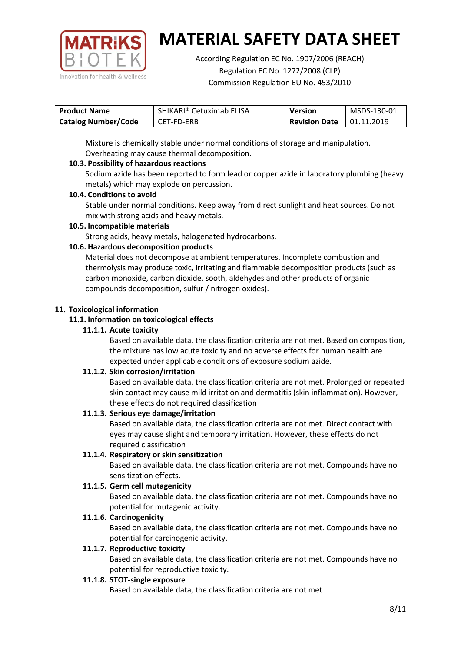

According Regulation EC No. 1907/2006 (REACH) Regulation EC No. 1272/2008 (CLP) Commission Regulation EU No. 453/2010

| <b>Product Name</b>        | SHIKARI® Cetuximab ELISA | <b>Version</b>                       | MSDS-130-01 |
|----------------------------|--------------------------|--------------------------------------|-------------|
| <b>Catalog Number/Code</b> | CET-FD-ERB               | <b>Revision Date</b> $\,$ 01.11.2019 |             |

Mixture is chemically stable under normal conditions of storage and manipulation. Overheating may cause thermal decomposition.

# **10.3. Possibility of hazardous reactions**

Sodium azide has been reported to form lead or copper azide in laboratory plumbing (heavy metals) which may explode on percussion.

### **10.4. Conditions to avoid**

Stable under normal conditions. Keep away from direct sunlight and heat sources. Do not mix with strong acids and heavy metals.

### **10.5. Incompatible materials**

Strong acids, heavy metals, halogenated hydrocarbons.

# **10.6. Hazardous decomposition products**

Material does not decompose at ambient temperatures. Incomplete combustion and thermolysis may produce toxic, irritating and flammable decomposition products (such as carbon monoxide, carbon dioxide, sooth, aldehydes and other products of organic compounds decomposition, sulfur / nitrogen oxides).

### **11. Toxicological information**

### **11.1. Information on toxicological effects**

### **11.1.1. Acute toxicity**

Based on available data, the classification criteria are not met. Based on composition, the mixture has low acute toxicity and no adverse effects for human health are expected under applicable conditions of exposure sodium azide.

# **11.1.2. Skin corrosion/irritation**

Based on available data, the classification criteria are not met. Prolonged or repeated skin contact may cause mild irritation and dermatitis (skin inflammation). However, these effects do not required classification

# **11.1.3. Serious eye damage/irritation**

Based on available data, the classification criteria are not met. Direct contact with eyes may cause slight and temporary irritation. However, these effects do not required classification

### **11.1.4. Respiratory or skin sensitization**

Based on available data, the classification criteria are not met. Compounds have no sensitization effects.

# **11.1.5. Germ cell mutagenicity**

Based on available data, the classification criteria are not met. Compounds have no potential for mutagenic activity.

# **11.1.6. Carcinogenicity**

Based on available data, the classification criteria are not met. Compounds have no potential for carcinogenic activity.

### **11.1.7. Reproductive toxicity**

Based on available data, the classification criteria are not met. Compounds have no potential for reproductive toxicity.

### **11.1.8. STOT-single exposure**

Based on available data, the classification criteria are not met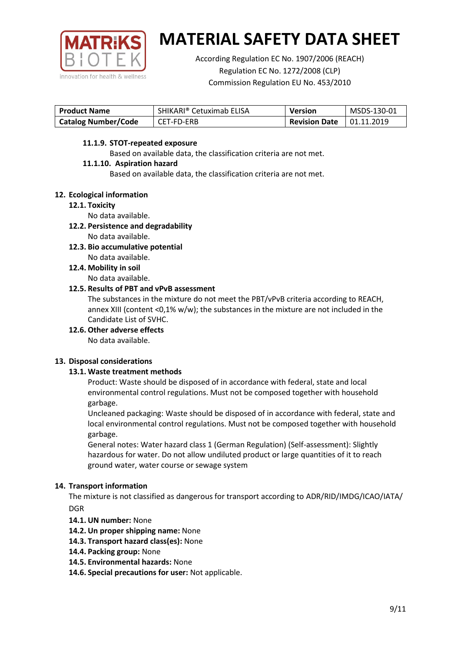

According Regulation EC No. 1907/2006 (REACH) Regulation EC No. 1272/2008 (CLP) Commission Regulation EU No. 453/2010

| <b>Product Name</b>        | SHIKARI® Cetuximab ELISA | <b>Version</b>       | MSDS-130-01       |
|----------------------------|--------------------------|----------------------|-------------------|
| <b>Catalog Number/Code</b> | CET-FD-ERB               | <b>Revision Date</b> | $\mid$ 01.11.2019 |

### **11.1.9. STOT-repeated exposure**

Based on available data, the classification criteria are not met.

### **11.1.10. Aspiration hazard**

Based on available data, the classification criteria are not met.

### **12. Ecological information**

### **12.1. Toxicity**

No data available.

- **12.2. Persistence and degradability** No data available.
- **12.3. Bio accumulative potential** No data available.
- **12.4. Mobility in soil** No data available.

### **12.5. Results of PBT and vPvB assessment**

The substances in the mixture do not meet the PBT/vPvB criteria according to REACH, annex XIII (content <0,1% w/w); the substances in the mixture are not included in the Candidate List of SVHC.

**12.6. Other adverse effects**

No data available.

# **13. Disposal considerations**

# **13.1. Waste treatment methods**

Product: Waste should be disposed of in accordance with federal, state and local environmental control regulations. Must not be composed together with household garbage.

Uncleaned packaging: Waste should be disposed of in accordance with federal, state and local environmental control regulations. Must not be composed together with household garbage.

General notes: Water hazard class 1 (German Regulation) (Self-assessment): Slightly hazardous for water. Do not allow undiluted product or large quantities of it to reach ground water, water course or sewage system

# **14. Transport information**

The mixture is not classified as dangerous for transport according to ADR/RID/IMDG/ICAO/IATA/ DGR

- **14.1. UN number:** None
- **14.2. Un proper shipping name:** None
- **14.3. Transport hazard class(es):** None
- **14.4. Packing group:** None
- **14.5. Environmental hazards:** None
- **14.6. Special precautions for user:** Not applicable.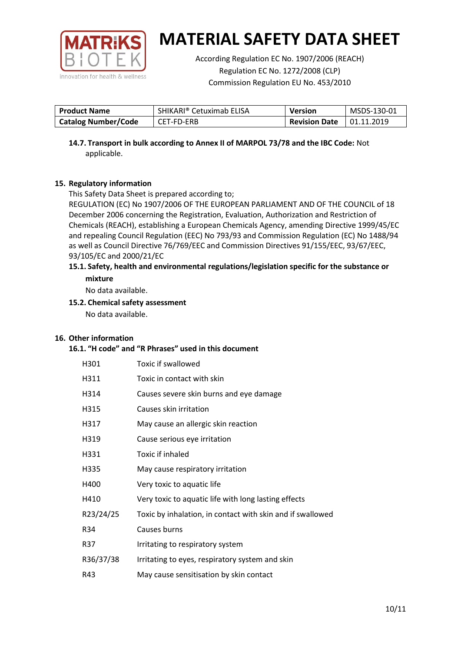

According Regulation EC No. 1907/2006 (REACH) Regulation EC No. 1272/2008 (CLP) Commission Regulation EU No. 453/2010

| <b>Product Name</b>        | SHIKARI® Cetuximab ELISA | <b>Version</b>       | MSDS-130-01       |
|----------------------------|--------------------------|----------------------|-------------------|
| <b>Catalog Number/Code</b> | CET-FD-ERB               | <b>Revision Date</b> | $\mid$ 01.11.2019 |

**14.7. Transport in bulk according to Annex II of MARPOL 73/78 and the IBC Code:** Not applicable.

# **15. Regulatory information**

This Safety Data Sheet is prepared according to;

REGULATION (EC) No 1907/2006 OF THE EUROPEAN PARLIAMENT AND OF THE COUNCIL of 18 December 2006 concerning the Registration, Evaluation, Authorization and Restriction of Chemicals (REACH), establishing a European Chemicals Agency, amending Directive 1999/45/EC and repealing Council Regulation (EEC) No 793/93 and Commission Regulation (EC) No 1488/94 as well as Council Directive 76/769/EEC and Commission Directives 91/155/EEC, 93/67/EEC, 93/105/EC and 2000/21/EC

### **15.1. Safety, health and environmental regulations/legislation specific for the substance or mixture**

No data available.

### **15.2. Chemical safety assessment**

No data available.

### **16. Other information**

### **16.1. "H code" and "R Phrases" used in this document**

| H301      | Toxic if swallowed                                         |
|-----------|------------------------------------------------------------|
| H311      | Toxic in contact with skin                                 |
| H314      | Causes severe skin burns and eye damage                    |
| H315      | Causes skin irritation                                     |
| H317      | May cause an allergic skin reaction                        |
| H319      | Cause serious eye irritation                               |
| H331      | Toxic if inhaled                                           |
| H335      | May cause respiratory irritation                           |
| H400      | Very toxic to aquatic life                                 |
| H410      | Very toxic to aquatic life with long lasting effects       |
| R23/24/25 | Toxic by inhalation, in contact with skin and if swallowed |
| R34       | Causes burns                                               |
| R37       | Irritating to respiratory system                           |
| R36/37/38 | Irritating to eyes, respiratory system and skin            |
| R43       | May cause sensitisation by skin contact                    |
|           |                                                            |